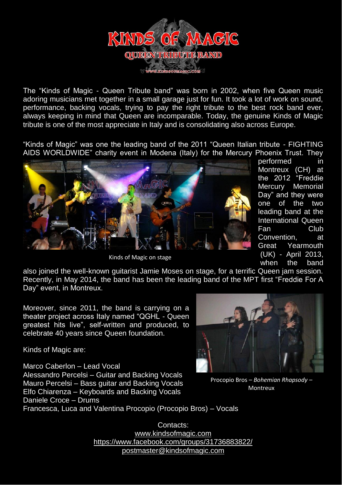

The "Kinds of Magic - Queen Tribute band" was born in 2002, when five Queen music adoring musicians met together in a small garage just for fun. It took a lot of work on sound, performance, backing vocals, trying to pay the right tribute to the best rock band ever, always keeping in mind that Queen are incomparable. Today, the genuine Kinds of Magic tribute is one of the most appreciate in Italy and is consolidating also across Europe.

"Kinds of Magic" was one the leading band of the 2011 "Queen Italian tribute - FIGHTING AIDS WORLDWIDE" charity event in Modena (Italy) for the Mercury Phoenix Trust. They



Kinds of Magic on stage

performed in Montreux (CH) at the 2012 "Freddie Mercury Memorial Day" and they were one of the two leading band at the International Queen Fan Club Convention, at Great Yearmouth (UK) - April 2013, when the band

also joined the well-known guitarist Jamie Moses on stage, for a terrific Queen jam session. Recently, in May 2014, the band has been the leading band of the MPT first "Freddie For A Day" event, in Montreux.

Moreover, since 2011, the band is carrying on a theater project across Italy named "QGHL - Queen greatest hits live", self-written and produced, to celebrate 40 years since Queen foundation.

Kinds of Magic are:

Marco Caberlon – Lead Vocal Alessandro Percelsi – Guitar and Backing Vocals Mauro Percelsi – Bass guitar and Backing Vocals Elfo Chiarenza – Keyboards and Backing Vocals Daniele Croce – Drums Francesca, Luca and Valentina Procopio (Procopio Bros) – Vocals



Procopio Bros – *Bohemian Rhapsody* – Montreux

Contacts: [www.kindsofmagic.com](http://www.kindsofmagic.com/) <https://www.facebook.com/groups/31736883822/> [postmaster@kindsofmagic.com](mailto:postmaster@kindsofmagic.com)